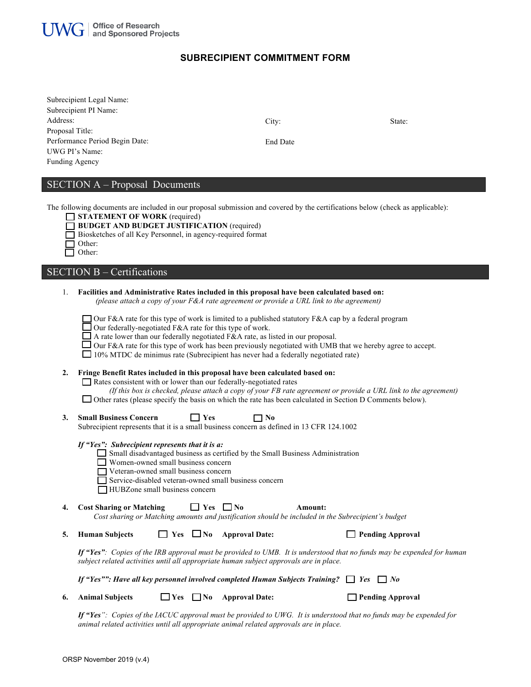

## **SUBRECIPIENT COMMITMENT FORM**

| Subrecipient Legal Name:       |
|--------------------------------|
| Subrecipient PI Name:          |
| Address:                       |
| Proposal Title:                |
| Performance Period Begin Date: |
| UWG PI's Name:                 |
| <b>Funding Agency</b>          |

City:

State:

End Date f

# SECTION A – Proposal Documents

The following documents are included in our proposal submission and covered by the certifications below (check as applicable):

| STATEMENT OF WORK (required) |  |  |
|------------------------------|--|--|

- **BUDGET AND BUDGET JUSTIFICATION** (required)
- Biosketches of all Key Personnel, in agency-required format

| Other: |
|--------|
| Other: |

# SECTION B – Certifications

| 1. | Facilities and Administrative Rates included in this proposal have been calculated based on:<br>(please attach a copy of your $F\&A$ rate agreement or provide a URL link to the agreement)                                                                                                                                                                                                                                                                            |  |  |
|----|------------------------------------------------------------------------------------------------------------------------------------------------------------------------------------------------------------------------------------------------------------------------------------------------------------------------------------------------------------------------------------------------------------------------------------------------------------------------|--|--|
|    | Our F&A rate for this type of work is limited to a published statutory F&A cap by a federal program<br>Our federally-negotiated F&A rate for this type of work.<br>A rate lower than our federally negotiated $F\&A$ rate, as listed in our proposal.<br>$\Box$ Our F&A rate for this type of work has been previously negotiated with UMB that we hereby agree to accept.<br>$\Box$ 10% MTDC de minimus rate (Subrecipient has never had a federally negotiated rate) |  |  |
| 2. | Fringe Benefit Rates included in this proposal have been calculated based on:<br>Rates consistent with or lower than our federally-negotiated rates<br>(If this box is checked, please attach a copy of your FB rate agreement or provide a URL link to the agreement)<br>$\Box$ Other rates (please specify the basis on which the rate has been calculated in Section D Comments below).                                                                             |  |  |
| 3. | <b>Small Business Concern</b><br>7 No<br>Yes<br>Subrecipient represents that it is a small business concern as defined in 13 CFR 124.1002                                                                                                                                                                                                                                                                                                                              |  |  |
|    | If "Yes": Subrecipient represents that it is a:<br>Small disadvantaged business as certified by the Small Business Administration<br>$\Box$ Women-owned small business concern<br>Veteran-owned small business concern<br>Service-disabled veteran-owned small business concern<br>HUBZone small business concern                                                                                                                                                      |  |  |
| 4. | <b>Cost Sharing or Matching</b><br>Yes<br>$\Box$ No<br>Amount:<br>Cost sharing or Matching amounts and justification should be included in the Subrecipient's budget                                                                                                                                                                                                                                                                                                   |  |  |
| 5. | <b>Human Subjects</b><br><b>Approval Date:</b><br>$\Box$ Pending Approval<br>$\Box$ Yes $\Box$ No                                                                                                                                                                                                                                                                                                                                                                      |  |  |
|    | If "Yes": Copies of the IRB approval must be provided to UMB. It is understood that no funds may be expended for human<br>subject related activities until all appropriate human subject approvals are in place.                                                                                                                                                                                                                                                       |  |  |
|    | If "Yes"": Have all key personnel involved completed Human Subjects Training? $\Box$ Yes<br>$\Box$ No                                                                                                                                                                                                                                                                                                                                                                  |  |  |
| 6. | Yes<br>$\Box$ No<br><b>Approval Date:</b><br><b>Pending Approval</b><br><b>Animal Subjects</b>                                                                                                                                                                                                                                                                                                                                                                         |  |  |

If "Yes": Copies of the IACUC approval must be provided to UWG. It is understood that no funds may be expended for *animal related activities until all appropriate animal related approvals are in place.*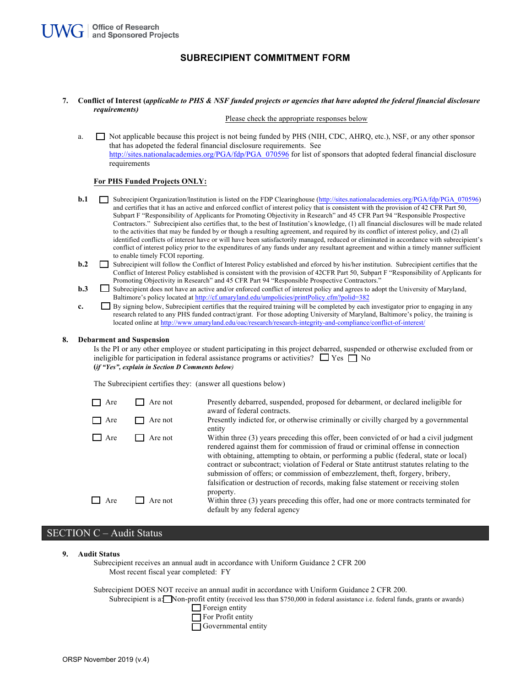### **SUBRECIPIENT COMMITMENT FORM**

**7. Conflict of Interest (***applicable to PHS & NSF funded projects or agencies that have adopted the federal financial disclosure requirements)*

Please check the appropriate responses below

a.  $\Box$  Not applicable because this project is not being funded by PHS (NIH, CDC, AHRQ, etc.), NSF, or any other sponsor that has adopeted the federal financial disclosure requirements. See http://sites.nationalacademies.org/PGA/fdp/PGA\_070596 for list of sponsors that adopted federal financial disclosure requirements

### **For PHS Funded Projects ONLY:**

- **b.1** Subrecipient Organization/Institution is listed on the FDP Clearinghouse (http://sites.nationalacademies.org/PGA/fdp/PGA\_070596) and certifies that it has an active and enforced conflict of interest policy that is consistent with the provision of 42 CFR Part 50, Subpart F "Responsibility of Applicants for Promoting Objectivity in Research" and 45 CFR Part 94 "Responsible Prospective Contractors." Subrecipient also certifies that, to the best of Institution's knowledge, (1) all financial disclosures will be made related to the activities that may be funded by or though a resulting agreement, and required by its conflict of interest policy, and (2) all identified conflicts of interest have or will have been satisfactorily managed, reduced or eliminated in accordance with subrecipient's conflict of interest policy prior to the expenditures of any funds under any resultant agreement and within a timely manner sufficient to enable timely FCOI reporting.
- **b.2** Subrecipient will follow the Conflict of Interest Policy established and eforced by his/her institution. Subrecipient certifies that the Conflict of Interest Policy established is consistent with the provision of 42CFR Part 50, Subpart F "Responsibility of Applicants for Promoting Objectivity in Research" and 45 CFR Part 94 "Responsible Prospective Contractors."
- **b.3** Subrecipient does not have an active and/or enforced conflict of interest policy and agrees to adopt the University of Maryland, Baltimore's policy located at http://cf.umaryland.edu/umpolicies/printPolicy.cfm?polid=382
- **c.** By signing below, Subrecipient certifies that the required training will be completed by each investigator prior to engaging in any research related to any PHS funded contract/grant. For those adopting University of Maryland, Baltimore's policy, the training is located online at http://www.umaryland.edu/oac/research/research-integrity-and-compliance/conflict-of-interest/

#### **8. Debarment and Suspension**

Is the PI or any other employee or student participating in this project debarred, suspended or otherwise excluded from or ineligible for participation in federal assistance programs or activities?  $\Box$  Yes  $\Box$  No **(***if "Yes", explain in Section D Comments below)* 

The Subrecipient certifies they: (answer all questions below)

| Are | Are not | Presently debarred, suspended, proposed for debarment, or declared ineligible for<br>award of federal contracts.                                                                                                                                                                                                                                                                                                                                                                                                                                      |
|-----|---------|-------------------------------------------------------------------------------------------------------------------------------------------------------------------------------------------------------------------------------------------------------------------------------------------------------------------------------------------------------------------------------------------------------------------------------------------------------------------------------------------------------------------------------------------------------|
| Are | Are not | Presently indicted for, or otherwise criminally or civilly charged by a governmental<br>entity                                                                                                                                                                                                                                                                                                                                                                                                                                                        |
| Are | Are not | Within three (3) years preceding this offer, been convicted of or had a civil judgment<br>rendered against them for commission of fraud or criminal offense in connection<br>with obtaining, attempting to obtain, or performing a public (federal, state or local)<br>contract or subcontract; violation of Federal or State antitrust statutes relating to the<br>submission of offers; or commission of embezzlement, theft, forgery, bribery,<br>falsification or destruction of records, making false statement or receiving stolen<br>property. |
| Are | Are not | Within three (3) years preceding this offer, had one or more contracts terminated for<br>default by any federal agency                                                                                                                                                                                                                                                                                                                                                                                                                                |

## SECTION C – Audit Status

**9. Audit Status**

Subrecipient receives an annual audt in accordance with Uniform Guidance 2 CFR 200 Most recent fiscal year completed: FY

Subrecipient DOES NOT receive an annual audit in accordance with Uniform Guidance 2 CFR 200.

Subrecipient is a: Non-profit entity (received less than \$750,000 in federal assistance i.e. federal funds, grants or awards)

- **Foreign entity**
- For Profit entity
- Governmental entity